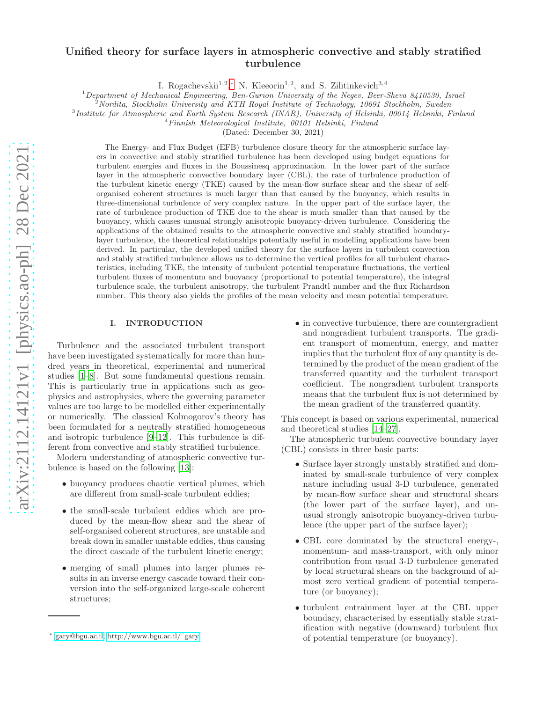# arXiv:2112.14121v1 [physics.ao-ph] 28 Dec 2021 [arXiv:2112.14121v1 \[physics.ao-ph\] 28 Dec 2021](http://arxiv.org/abs/2112.14121v1)

# Unified theory for surface layers in atmospheric convective and stably stratified turbulence

I. Rogachevskii<sup>1,2</sup>,\* N. Kleeorin<sup>1,2</sup>, and S. Zilitinkevich<sup>3,4</sup>

<sup>1</sup>*Department of Mechanical Engineering, Ben-Gurion University of the Negev, Beer-Sheva 8410530, Israel*

<sup>2</sup>*Nordita, Stockholm University and KTH Royal Institute of Technology, 10691 Stockholm, Sweden*

3 *Institute for Atmospheric and Earth System Research (INAR), University of Helsinki, 00014 Helsinki, Finland*

<sup>4</sup>*Finnish Meteorological Institute, 00101 Helsinki, Finland*

(Dated: December 30, 2021)

The Energy- and Flux Budget (EFB) turbulence closure theory for the atmospheric surface layers in convective and stably stratified turbulence has been developed using budget equations for turbulent energies and fluxes in the Boussinesq approximation. In the lower part of the surface layer in the atmospheric convective boundary layer (CBL), the rate of turbulence production of the turbulent kinetic energy (TKE) caused by the mean-flow surface shear and the shear of selforganised coherent structures is much larger than that caused by the buoyancy, which results in three-dimensional turbulence of very complex nature. In the upper part of the surface layer, the rate of turbulence production of TKE due to the shear is much smaller than that caused by the buoyancy, which causes unusual strongly anisotropic buoyancy-driven turbulence. Considering the applications of the obtained results to the atmospheric convective and stably stratified boundarylayer turbulence, the theoretical relationships potentially useful in modelling applications have been derived. In particular, the developed unified theory for the surface layers in turbulent convection and stably stratified turbulence allows us to determine the vertical profiles for all turbulent characteristics, including TKE, the intensity of turbulent potential temperature fluctuations, the vertical turbulent fluxes of momentum and buoyancy (proportional to potential temperature), the integral turbulence scale, the turbulent anisotropy, the turbulent Prandtl number and the flux Richardson number. This theory also yields the profiles of the mean velocity and mean potential temperature.

## I. INTRODUCTION

Turbulence and the associated turbulent transport have been investigated systematically for more than hundred years in theoretical, experimental and numerical studies [\[1](#page-11-0)[–8\]](#page-11-1). But some fundamental questions remain. This is particularly true in applications such as geophysics and astrophysics, where the governing parameter values are too large to be modelled either experimentally or numerically. The classical Kolmogorov's theory has been formulated for a neutrally stratified homogeneous and isotropic turbulence [\[9](#page-11-2)[–12](#page-11-3)]. This turbulence is different from convective and stably stratified turbulence.

Modern understanding of atmospheric convective turbulence is based on the following [\[13\]](#page-11-4):

- buoyancy produces chaotic vertical plumes, which are different from small-scale turbulent eddies;
- the small-scale turbulent eddies which are produced by the mean-flow shear and the shear of self-organised coherent structures, are unstable and break down in smaller unstable eddies, thus causing the direct cascade of the turbulent kinetic energy;
- merging of small plumes into larger plumes results in an inverse energy cascade toward their conversion into the self-organized large-scale coherent structures;

• in convective turbulence, there are countergradient and nongradient turbulent transports. The gradient transport of momentum, energy, and matter implies that the turbulent flux of any quantity is determined by the product of the mean gradient of the transferred quantity and the turbulent transport coefficient. The nongradient turbulent transports means that the turbulent flux is not determined by the mean gradient of the transferred quantity.

This concept is based on various experimental, numerical and theoretical studies [\[14](#page-11-5)[–27\]](#page-12-0).

The atmospheric turbulent convective boundary layer (CBL) consists in three basic parts:

- Surface layer strongly unstably stratified and dominated by small-scale turbulence of very complex nature including usual 3-D turbulence, generated by mean-flow surface shear and structural shears (the lower part of the surface layer), and unusual strongly anisotropic buoyancy-driven turbulence (the upper part of the surface layer);
- CBL core dominated by the structural energy-, momentum- and mass-transport, with only minor contribution from usual 3-D turbulence generated by local structural shears on the background of almost zero vertical gradient of potential temperature (or buoyancy);
- turbulent entrainment layer at the CBL upper boundary, characterised by essentially stable stratification with negative (downward) turbulent flux of potential temperature (or buoyancy).

<span id="page-0-0"></span><sup>∗</sup> [gary@bgu.ac.il;](mailto:gary@bgu.ac.il) [http://www.bgu.ac.il/˜gary](http://www.bgu.ac.il/~gary)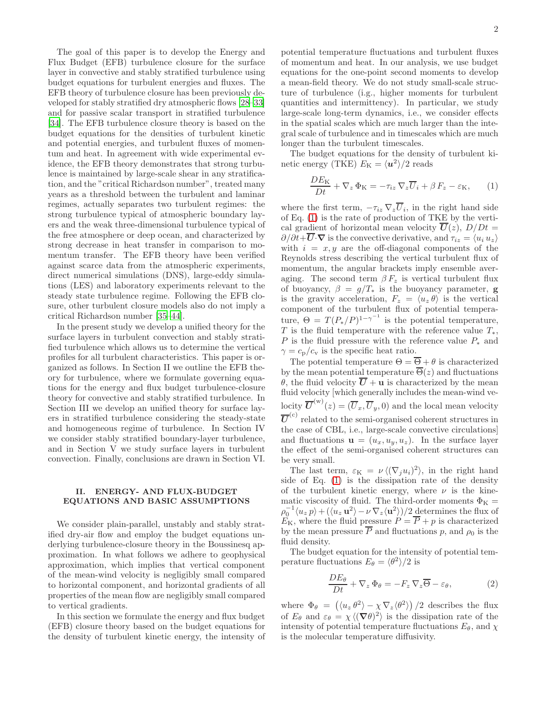The goal of this paper is to develop the Energy and Flux Budget (EFB) turbulence closure for the surface layer in convective and stably stratified turbulence using budget equations for turbulent energies and fluxes. The EFB theory of turbulence closure has been previously developed for stably stratified dry atmospheric flows [\[28](#page-12-1)[–33\]](#page-12-2) and for passive scalar transport in stratified turbulence [\[34\]](#page-12-3). The EFB turbulence closure theory is based on the budget equations for the densities of turbulent kinetic and potential energies, and turbulent fluxes of momentum and heat. In agreement with wide experimental evidence, the EFB theory demonstrates that strong turbulence is maintained by large-scale shear in any stratification, and the "critical Richardson number", treated many years as a threshold between the turbulent and laminar regimes, actually separates two turbulent regimes: the strong turbulence typical of atmospheric boundary layers and the weak three-dimensional turbulence typical of the free atmosphere or deep ocean, and characterized by strong decrease in heat transfer in comparison to momentum transfer. The EFB theory have been verified against scarce data from the atmospheric experiments, direct numerical simulations (DNS), large-eddy simulations (LES) and laboratory experiments relevant to the steady state turbulence regime. Following the EFB closure, other turbulent closure models also do not imply a critical Richardson number [\[35](#page-12-4)[–44](#page-12-5)].

In the present study we develop a unified theory for the surface layers in turbulent convection and stably stratified turbulence which allows us to determine the vertical profiles for all turbulent characteristics. This paper is organized as follows. In Section II we outline the EFB theory for turbulence, where we formulate governing equations for the energy and flux budget turbulence-closure theory for convective and stably stratified turbulence. In Section III we develop an unified theory for surface layers in stratified turbulence considering the steady-state and homogeneous regime of turbulence. In Section IV we consider stably stratified boundary-layer turbulence, and in Section V we study surface layers in turbulent convection. Finally, conclusions are drawn in Section VI.

# II. ENERGY- AND FLUX-BUDGET EQUATIONS AND BASIC ASSUMPTIONS

We consider plain-parallel, unstably and stably stratified dry-air flow and employ the budget equations underlying turbulence-closure theory in the Boussinesq approximation. In what follows we adhere to geophysical approximation, which implies that vertical component of the mean-wind velocity is negligibly small compared to horizontal component, and horizontal gradients of all properties of the mean flow are negligibly small compared to vertical gradients.

In this section we formulate the energy and flux budget (EFB) closure theory based on the budget equations for the density of turbulent kinetic energy, the intensity of potential temperature fluctuations and turbulent fluxes of momentum and heat. In our analysis, we use budget equations for the one-point second moments to develop a mean-field theory. We do not study small-scale structure of turbulence (i.g., higher moments for turbulent quantities and intermittency). In particular, we study large-scale long-term dynamics, i.e., we consider effects in the spatial scales which are much larger than the integral scale of turbulence and in timescales which are much longer than the turbulent timescales.

The budget equations for the density of turbulent kinetic energy (TKE)  $E_{\rm K} = \langle u^2 \rangle / 2$  reads

<span id="page-1-0"></span>
$$
\frac{DE_{\mathrm{K}}}{Dt} + \nabla_z \Phi_{\mathrm{K}} = -\tau_{iz} \nabla_z \overline{U}_i + \beta F_z - \varepsilon_{\mathrm{K}},\qquad(1)
$$

where the first term,  $-\tau_{iz} \nabla_z U_i$ , in the right hand side of Eq. [\(1\)](#page-1-0) is the rate of production of TKE by the vertical gradient of horizontal mean velocity  $\overline{U}(z)$ ,  $D/Dt =$  $\partial/\partial t+\overline{U}\cdot\nabla$  is the convective derivative, and  $\tau_{iz}=\langle u_i u_z\rangle$ with  $i = x, y$  are the off-diagonal components of the Reynolds stress describing the vertical turbulent flux of momentum, the angular brackets imply ensemble averaging. The second term  $\beta F_z$  is vertical turbulent flux of buoyancy,  $\beta = g/T_*$  is the buoyancy parameter, g is the gravity acceleration,  $F_z = \langle u_z \theta \rangle$  is the vertical component of the turbulent flux of potential temperature,  $\Theta = T (P_*/P)^{1-\gamma^{-1}}$  is the potential temperature, T is the fluid temperature with the reference value  $T_*$ , P is the fluid pressure with the reference value  $P_*$  and  $\gamma = c_{\rm p}/c_{\rm v}$  is the specific heat ratio.

The potential temperature  $\Theta = \overline{\Theta} + \theta$  is characterized by the mean potential temperature  $\overline{\Theta}(z)$  and fluctuations  $θ$ , the fluid velocity  $\overline{U} + u$  is characterized by the mean fluid velocity [which generally includes the mean-wind velocity  $\overline{U}^{(w)}(z) = (\overline{U}_x, \overline{U}_y, 0)$  and the local mean velocity  $\overline{U}^{(c)}$  related to the semi-organised coherent structures in the case of CBL, i.e., large-scale convective circulations] and fluctuations  $\mathbf{u} = (u_x, u_y, u_z)$ . In the surface layer the effect of the semi-organised coherent structures can be very small.

The last term,  $\varepsilon_{\mathbf{K}} = \nu \langle (\nabla_j u_i)^2 \rangle$ , in the right hand side of Eq. [\(1\)](#page-1-0) is the dissipation rate of the density of the turbulent kinetic energy, where  $\nu$  is the kinematic viscosity of fluid. The third-order moments  $\Phi_{\rm K}$  =  $\rho_0^{-1} \langle u_z \, p \rangle + (\langle u_z \, \mathbf{u}^2 \rangle - \nu \, \nabla_z \langle \mathbf{u}^2 \rangle)/2$  determines the flux of  $E_{\rm K}$ , where the fluid pressure  $P = P + p$  is characterized by the mean pressure  $\overline{P}$  and fluctuations p, and  $\rho_0$  is the fluid density.

The budget equation for the intensity of potential temperature fluctuations  $E_{\theta} = \langle \theta^2 \rangle / 2$  is

<span id="page-1-1"></span>
$$
\frac{DE_{\theta}}{Dt} + \nabla_z \, \Phi_{\theta} = -F_z \, \nabla_z \overline{\Theta} - \varepsilon_{\theta},\tag{2}
$$

where  $\Phi_{\theta} = (\langle u_z \theta^2 \rangle - \chi \nabla_z \langle \theta^2 \rangle)/2$  describes the flux of  $E_{\theta}$  and  $\varepsilon_{\theta} = \chi \langle (\nabla \theta)^2 \rangle$  is the dissipation rate of the intensity of potential temperature fluctuations  $E_{\theta}$ , and  $\chi$ is the molecular temperature diffusivity.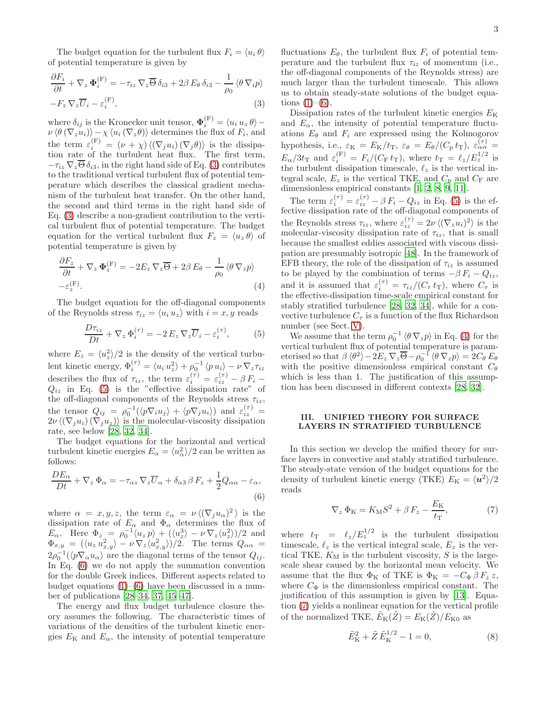The budget equation for the turbulent flux  $F_i = \langle u_i \theta \rangle$ of potential temperature is given by

<span id="page-2-0"></span>
$$
\frac{\partial F_i}{\partial t} + \nabla_z \, \Phi_i^{(F)} = -\tau_{iz} \, \nabla_z \overline{\Theta} \, \delta_{i3} + 2\beta \, E_\theta \, \delta_{i3} - \frac{1}{\rho_0} \, \langle \theta \, \nabla_i p \rangle
$$
\n
$$
-F_z \, \nabla_z \overline{U}_i - \varepsilon_i^{(F)},\tag{3}
$$

where  $\delta_{ij}$  is the Kronecker unit tensor,  $\mathbf{\Phi}_i^{(F)} = \langle u_i \, u_z \, \theta \rangle \nu \langle \theta (\nabla_z u_i) \rangle - \chi \langle u_i (\nabla_z \theta) \rangle$  determines the flux of  $F_i$ , and the term  $\varepsilon_i^{(F)} = (\nu + \chi) \langle (\nabla_j u_i) (\nabla_j \theta) \rangle$  is the dissipation rate of the turbulent heat flux. The first term,  $-\tau_{iz}\nabla_z\overline{\Theta}\delta_{i3}$ , in the right hand side of Eq. [\(3\)](#page-2-0) contributes to the traditional vertical turbulent flux of potential temperature which describes the classical gradient mechanism of the turbulent heat transfer. On the other hand, the second and third terms in the right hand side of Eq. [\(3\)](#page-2-0) describe a non-gradient contribution to the vertical turbulent flux of potential temperature. The budget equation for the vertical turbulent flux  $F_z = \langle u_z \theta \rangle$  of potential temperature is given by

<span id="page-2-3"></span>
$$
\frac{\partial F_z}{\partial t} + \nabla_z \, \Phi_z^{(F)} = -2E_z \, \nabla_z \overline{\Theta} + 2\beta \, E_\theta - \frac{1}{\rho_0} \, \langle \theta \, \nabla_z p \rangle
$$
\n
$$
-\varepsilon_z^{(F)}.
$$
\n(4)

The budget equation for the off-diagonal components of the Reynolds stress  $\tau_{iz} = \langle u_i u_z \rangle$  with  $i = x, y$  reads

<span id="page-2-1"></span>
$$
\frac{D\tau_{iz}}{Dt} + \nabla_z \, \Phi_i^{(\tau)} = -2 \, E_z \, \nabla_z \overline{U}_i - \varepsilon_i^{(\tau)},\tag{5}
$$

where  $E_z = \langle u_z^2 \rangle / 2$  is the density of the vertical turbulent kinetic energy,  $\Phi_i^{(\tau)} = \langle u_i u_z^2 \rangle + \rho_0^{-1} \langle p u_i \rangle - \nu \nabla_z \tau_{iz}$ describes the flux of  $\tau_{iz}$ , the term  $\varepsilon_i^{(\tau)} = \varepsilon_{iz}^{(\tau)} - \beta F_i$  $Q_{iz}$  in Eq. [\(5\)](#page-2-1) is the "effective dissipation rate" of the off-diagonal components of the Reynolds stress  $\tau_{iz}$ , the tensor  $Q_{ij} = \rho_0^{-1} (\langle p \nabla_i u_j \rangle + \langle p \nabla_j u_i \rangle)$  and  $\varepsilon_{iz}^{(\tau)}$  $2\nu \langle (\nabla_j u_i)(\nabla_j u_z) \rangle$  is the molecular-viscosity dissipation rate, see below [\[28](#page-12-1), [32](#page-12-6), [34\]](#page-12-3).

The budget equations for the horizontal and vertical turbulent kinetic energies  $E_{\alpha} = \langle u_{\alpha}^2 \rangle / 2$  can be written as follows:

<span id="page-2-2"></span>
$$
\frac{DE_{\alpha}}{Dt} + \nabla_z \Phi_{\alpha} = -\tau_{\alpha z} \nabla_z \overline{U}_{\alpha} + \delta_{\alpha 3} \beta F_z + \frac{1}{2} Q_{\alpha \alpha} - \varepsilon_{\alpha},\tag{6}
$$

where  $\alpha = x, y, z$ , the term  $\varepsilon_{\alpha} = \nu \langle (\nabla_j u_{\alpha})^2 \rangle$  is the dissipation rate of  $E_{\alpha}$  and  $\Phi_{\alpha}$  determines the flux of  $E_{\alpha}$ . Here  $\Phi_{z} = \rho_0^{-1} \langle u_z p \rangle + \langle \langle u_z^3 \rangle - \nu \nabla_z \langle u_z^2 \rangle \rangle / 2$  and  $\Phi_{x,y} = (\langle u_z u_{x,y}^2 \rangle - \nu \nabla_z \langle u_{x,y}^2 \rangle)/2.$  The terms  $Q_{\alpha\alpha} =$  $2\rho_0^{-1}(\langle p\nabla_\alpha u_\alpha\rangle)$  are the diagonal terms of the tensor  $Q_{ij}$ . In Eq. [\(6\)](#page-2-2) we do not apply the summation convention for the double Greek indices. Different aspects related to budget equations  $(1)$ – $(6)$  have been discussed in a number of publications [\[28](#page-12-1)[–34,](#page-12-3) [37,](#page-12-7) [45](#page-12-8)[–47\]](#page-12-9).

The energy and flux budget turbulence closure theory assumes the following. The characteristic times of variations of the densities of the turbulent kinetic energies  $E_{\rm K}$  and  $E_{\alpha}$ , the intensity of potential temperature

fluctuations  $E_{\theta}$ , the turbulent flux  $F_i$  of potential temperature and the turbulent flux  $\tau_{iz}$  of momentum (i.e., the off-diagonal components of the Reynolds stress) are much larger than the turbulent timescale. This allows us to obtain steady-state solutions of the budget equations  $(1)–(6)$  $(1)–(6)$ .

Dissipation rates of the turbulent kinetic energies  $E<sub>K</sub>$ and  $E_{\alpha}$ , the intensity of potential temperature fluctuations  $E_{\theta}$  and  $F_i$  are expressed using the Kolmogorov hypothesis, i.e.,  $\varepsilon_{\rm K} = E_{\rm K}/t_{\rm T}$ ,  $\varepsilon_{\theta} = E_{\theta}/(C_{\rm p} t_{\rm T})$ ,  $\varepsilon_{\alpha\alpha}^{(\tau)}$  $E_{\alpha}/3t_{\rm T}$  and  $\varepsilon_i^{\rm (F)} = F_i/(C_{\rm F} t_{\rm T})$ , where  $t_{\rm T} = \ell_z/E_z^{1/2}$  is the turbulent dissipation timescale,  $\ell_z$  is the vertical integral scale,  $E_z$  is the vertical TKE, and  $C_p$  and  $C_F$  are dimensionless empirical constants [\[1](#page-11-0), [2](#page-11-6), [8](#page-11-1), [9](#page-11-2), [11\]](#page-11-7).

The term  $\varepsilon_i^{(\tau)} = \varepsilon_{iz}^{(\tau)} - \beta F_i - Q_{iz}$  in Eq. [\(5\)](#page-2-1) is the effective dissipation rate of the off-diagonal components of the Reynolds stress  $\tau_{iz}$ , where  $\varepsilon_{iz}^{(\tau)} = 2\nu \langle (\nabla_z u_i)^2 \rangle$  is the molecular-viscosity dissipation rate of  $\tau_{iz}$ , that is small because the smallest eddies associated with viscous dissipation are presumably isotropic [\[48](#page-12-10)]. In the framework of EFB theory, the role of the dissipation of  $\tau_{iz}$  is assumed to be played by the combination of terms  $-\beta F_i - Q_{iz}$ , and it is assumed that  $\varepsilon_i^{(\tau)} = \tau_{iz}/(C_\tau t_\text{T})$ , where  $C_\tau$  is the effective-dissipation time-scale empirical constant for stably stratified turbulence [\[28,](#page-12-1) [32](#page-12-6), [34](#page-12-3)], while for a convective turbulence  $C_{\tau}$  is a function of the flux Richardson number (see Sect. [V\)](#page-7-0).

We assume that the term  $\rho_0^{-1} \langle \theta \nabla_z p \rangle$  in Eq. [\(4\)](#page-2-3) for the vertical turbulent flux of potential temperature is parameterised so that  $\beta \langle \theta^2 \rangle - 2E_z \nabla_z \overline{\Theta} - \rho_0^{-1} \langle \theta \nabla_z p \rangle = 2C_\theta E_\theta$ with the positive dimensionless empirical constant  $C_{\theta}$ which is less than 1. The justification of this assumption has been discussed in different contexts [\[28](#page-12-1), [32](#page-12-6)].

### <span id="page-2-6"></span>III. UNIFIED THEORY FOR SURFACE LAYERS IN STRATIFIED TURBULENCE

In this section we develop the unified theory for surface layers in convective and stably stratified turbulence. The steady-state version of the budget equations for the density of turbulent kinetic energy (TKE)  $E_{\rm K} = \langle u^2 \rangle / 2$ reads

<span id="page-2-4"></span>
$$
\nabla_z \Phi_K = K_\mathcal{M} S^2 + \beta F_z - \frac{E_\mathcal{K}}{t_\mathcal{T}},\tag{7}
$$

where  $t_{\rm T}$  =  $\ell_z/E_z^{1/2}$  is the turbulent dissipation timescale,  $\ell_z$  is the vertical integral scale,  $E_z$  is the vertical TKE,  $K_{\text{M}}$  is the turbulent viscosity,  $S$  is the largescale shear caused by the horizontal mean velocity. We assume that the flux  $\Phi_K$  of TKE is  $\Phi_K = -C_{\Phi} \beta F_z z$ , where  $C_{\Phi}$  is the dimensionless empirical constant. The justification of this assumption is given by [\[13\]](#page-11-4). Equation [\(7\)](#page-2-4) yields a nonlinear equation for the vertical profile of the normalized TKE,  $\tilde{E}_{\rm K}(\tilde{Z}) = E_{\rm K}(\tilde{Z})/E_{\rm K0}$  as

<span id="page-2-5"></span> $\overline{I}$ 

$$
\tilde{E}_{K}^{2} + \tilde{Z} \tilde{E}_{K}^{1/2} - 1 = 0,
$$
\n(8)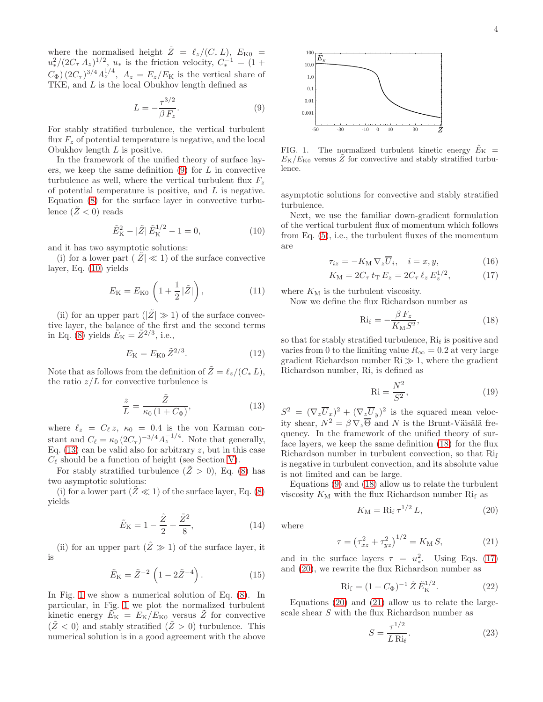where the normalised height  $\tilde{Z} = \ell_z/(C_* L), E_{K0}$  $u_*^2/(2C_\tau A_z)^{1/2}$ ,  $u_*$  is the friction velocity,  $C_*^{-1} = (1 +$  $C_{\Phi}$ )  $(2C_{\tau})^{3/4}A_{z}^{1/4}, A_{z} = E_{z}/E_{K}$  is the vertical share of TKE, and L is the local Obukhov length defined as

<span id="page-3-0"></span>
$$
L = -\frac{\tau^{3/2}}{\beta F_z}.\tag{9}
$$

For stably stratified turbulence, the vertical turbulent flux  $F<sub>z</sub>$  of potential temperature is negative, and the local Obukhov length L is positive.

In the framework of the unified theory of surface layers, we keep the same definition  $(9)$  for L in convective turbulence as well, where the vertical turbulent flux  $F_z$ of potential temperature is positive, and  $L$  is negative. Equation [\(8\)](#page-2-5) for the surface layer in convective turbulence  $(\tilde{Z} < 0)$  reads

<span id="page-3-1"></span>
$$
\tilde{E}_{\rm K}^2 - |\tilde{Z}| \tilde{E}_{\rm K}^{1/2} - 1 = 0,\t\t(10)
$$

and it has two asymptotic solutions:

(i) for a lower part  $(|\tilde{Z}| \ll 1)$  of the surface convective layer, Eq. [\(10\)](#page-3-1) yields

<span id="page-3-10"></span>
$$
E_{\rm K} = E_{\rm K0} \left( 1 + \frac{1}{2} |\tilde{Z}| \right), \tag{11}
$$

(ii) for an upper part  $(|\tilde{Z}| \gg 1)$  of the surface convective layer, the balance of the first and the second terms in Eq. [\(8\)](#page-2-5) yields  $\tilde{E}_{\rm K} = \tilde{Z}^{2/3}$ , i.e.,

<span id="page-3-11"></span>
$$
E_{\rm K} = E_{\rm K0} \,\tilde{Z}^{2/3}.\tag{12}
$$

Note that as follows from the definition of  $\tilde{Z} = \ell_z/(C_* L)$ , the ratio  $z/L$  for convective turbulence is

<span id="page-3-2"></span>
$$
\frac{z}{L} = \frac{\tilde{Z}}{\kappa_0 \left(1 + C_{\Phi}\right)},\tag{13}
$$

where  $\ell_z = C_\ell z, \ \kappa_0 = 0.4$  is the von Karman constant and  $C_{\ell} = \kappa_0 (2C_{\tau})^{-3/4} A_z^{-1/4}$ . Note that generally, Eq.  $(13)$  can be valid also for arbitrary z, but in this case  $C_{\ell}$  should be a function of height (see Section [V\)](#page-7-0).

For stably stratified turbulence  $(Z > 0)$ , Eq. [\(8\)](#page-2-5) has two asymptotic solutions:

(i) for a lower part  $(\tilde{Z} \ll 1)$  of the surface layer, Eq. [\(8\)](#page-2-5) yields

$$
\tilde{E}_{\rm K} = 1 - \frac{\tilde{Z}}{2} + \frac{\tilde{Z}^2}{8},\tag{14}
$$

(ii) for an upper part  $(\tilde{Z} \gg 1)$  of the surface layer, it is

$$
\tilde{E}_{\mathcal{K}} = \tilde{Z}^{-2} \left( 1 - 2\tilde{Z}^{-4} \right). \tag{15}
$$

In Fig. [1](#page-3-3) we show a numerical solution of Eq. [\(8\)](#page-2-5). In particular, in Fig. [1](#page-3-3) we plot the normalized turbulent kinetic energy  $E_{\rm K} = E_{\rm K}/E_{\rm K0}$  versus Z for convective  $(\tilde{Z} < 0)$  and stably stratified  $(\tilde{Z} > 0)$  turbulence. This numerical solution is in a good agreement with the above



<span id="page-3-3"></span>FIG. 1. The normalized turbulent kinetic energy  $\tilde{E}_{\rm K}$  =  $E_{\rm K}/E_{\rm K0}$  versus  $\tilde{Z}$  for convective and stably stratified turbulence.

asymptotic solutions for convective and stably stratified turbulence.

Next, we use the familiar down-gradient formulation of the vertical turbulent flux of momentum which follows from Eq. [\(5\)](#page-2-1), i.e., the turbulent fluxes of the momentum are

<span id="page-3-5"></span>
$$
\tau_{iz} = -K_{\mathcal{M}} \nabla_z \overline{U}_i, \quad i = x, y,\tag{16}
$$

$$
K_{\rm M} = 2C_{\tau} t_{\rm T} E_z = 2C_{\tau} \ell_z E_z^{1/2},\tag{17}
$$

where  $K_{\text{M}}$  is the turbulent viscosity.

Now we define the flux Richardson number as

<span id="page-3-4"></span>
$$
\text{Ri}_{\text{f}} = -\frac{\beta F_z}{K_{\text{M}} S^2},\tag{18}
$$

so that for stably stratified turbulence,  $\mathrm{Ri}_\text{f}$  is positive and varies from 0 to the limiting value  $R_{\infty} = 0.2$  at very large gradient Richardson number  $\mathrm{Ri} \gg 1$ , where the gradient Richardson number, Ri, is defined as

$$
\text{Ri} = \frac{N^2}{S^2},\tag{19}
$$

 $S^2 = (\nabla_z \overline{U}_x)^2 + (\nabla_z \overline{U}_y)^2$  is the squared mean velocity shear,  $N^2 = \beta \nabla_z \overline{\Theta}$  and N is the Brunt-Väisälä frequency. In the framework of the unified theory of surface layers, we keep the same definition [\(18\)](#page-3-4) for the flux Richardson number in turbulent convection, so that Rif is negative in turbulent convection, and its absolute value is not limited and can be large.

Equations [\(9\)](#page-3-0) and [\(18\)](#page-3-4) allow us to relate the turbulent viscosity  $K_{\rm M}$  with the flux Richardson number  ${\rm Ri}_{\rm f}$  as

<span id="page-3-6"></span>
$$
K_{\mathcal{M}} = \operatorname{Ri}_{\mathbf{f}} \tau^{1/2} L,\tag{20}
$$

where

<span id="page-3-7"></span>
$$
\tau = \left(\tau_{xz}^2 + \tau_{yz}^2\right)^{1/2} = K_{\rm M} S,\tag{21}
$$

and in the surface layers  $\tau = u_*^2$ . Using Eqs. [\(17\)](#page-3-5) and [\(20\)](#page-3-6), we rewrite the flux Richardson number as

<span id="page-3-8"></span>
$$
Ri_f = (1 + C_{\Phi})^{-1} \tilde{Z} \tilde{E}_K^{1/2}.
$$
 (22)

Equations [\(20\)](#page-3-6) and [\(21\)](#page-3-7) allow us to relate the largescale shear S with the flux Richardson number as

<span id="page-3-9"></span>
$$
S = \frac{\tau^{1/2}}{L \operatorname{Ri}_f}.\tag{23}
$$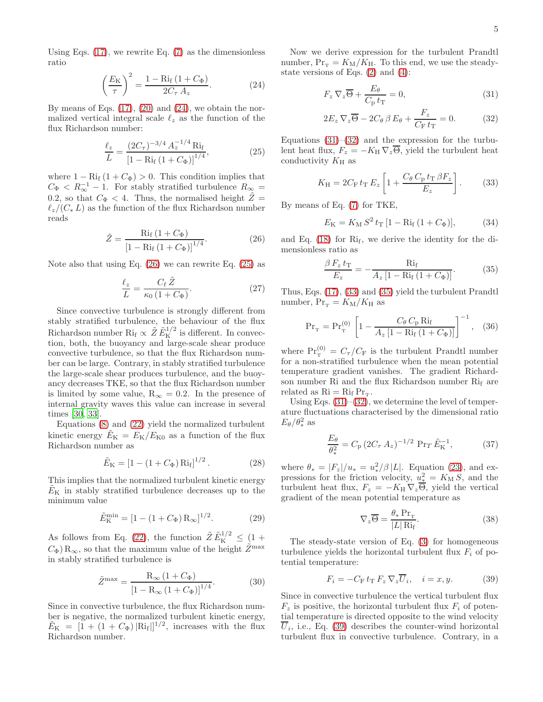Using Eqs.  $(17)$ , we rewrite Eq.  $(7)$  as the dimensionless ratio

<span id="page-4-0"></span>
$$
\left(\frac{E_{\rm K}}{\tau}\right)^2 = \frac{1 - \text{Ri}_{\rm f} \left(1 + C_{\Phi}\right)}{2C_{\tau} A_z}.
$$
 (24)

By means of Eqs.  $(17)$ ,  $(20)$  and  $(24)$ , we obtain the normalized vertical integral scale  $\ell_z$  as the function of the flux Richardson number:

<span id="page-4-2"></span>
$$
\frac{\ell_z}{L} = \frac{(2C_\tau)^{-3/4} A_z^{-1/4} \text{Ri}_{\text{f}}}{\left[1 - \text{Ri}_{\text{f}} \left(1 + C_\Phi\right)\right]^{1/4}},\tag{25}
$$

where  $1 - Ri_f (1 + C_{\Phi}) > 0$ . This condition implies that  $C_{\Phi} < R_{\infty}^{-1} - 1$ . For stably stratified turbulence  $R_{\infty} =$ 0.2, so that  $C_{\Phi} < 4$ . Thus, the normalised height  $Z =$  $\ell_z/(C_* L)$  as the function of the flux Richardson number reads

<span id="page-4-1"></span>
$$
\tilde{Z} = \frac{\text{Ri}_{\text{f}} \left( 1 + C_{\Phi} \right)}{\left[ 1 - \text{Ri}_{\text{f}} \left( 1 + C_{\Phi} \right) \right]^{1/4}}.
$$
\n(26)

Note also that using Eq.  $(26)$  we can rewrite Eq.  $(25)$  as

$$
\frac{\ell_z}{L} = \frac{C_\ell \tilde{Z}}{\kappa_0 \left(1 + C_\Phi\right)}.\tag{27}
$$

Since convective turbulence is strongly different from stably stratified turbulence, the behaviour of the flux Richardson number  $\mathrm{Ri}_{\mathrm{f}} \propto \tilde{Z} \tilde{E}_{\mathrm{K}}^{1/2}$  is different. In convection, both, the buoyancy and large-scale shear produce convective turbulence, so that the flux Richardson number can be large. Contrary, in stably stratified turbulence the large-scale shear produces turbulence, and the buoyancy decreases TKE, so that the flux Richardson number is limited by some value,  $R_{\infty} = 0.2$ . In the presence of internal gravity waves this value can increase in several times [\[30](#page-12-11), [33\]](#page-12-2).

Equations [\(8\)](#page-2-5) and [\(22\)](#page-3-8) yield the normalized turbulent kinetic energy  $E_{\rm K} = E_{\rm K}/E_{\rm K0}$  as a function of the flux Richardson number as

$$
\tilde{E}_{\rm K} = \left[1 - (1 + C_{\Phi}) \,\text{Ri}_{\rm f}\right]^{1/2}.\tag{28}
$$

This implies that the normalized turbulent kinetic energy  $E_{\rm K}$  in stably stratified turbulence decreases up to the minimum value

$$
\tilde{E}_{\rm K}^{\rm min} = [1 - (1 + C_{\Phi}) R_{\infty}]^{1/2}.
$$
 (29)

As follows from Eq. [\(22\)](#page-3-8), the function  $\tilde{Z} \tilde{E}_K^{1/2} \leq (1 +$  $(C_{\Phi})$  R<sub>∞</sub>, so that the maximum value of the height  $\bar{Z}^{\max}$ in stably stratified turbulence is

$$
\tilde{Z}^{\max} = \frac{R_{\infty} (1 + C_{\Phi})}{\left[1 - R_{\infty} (1 + C_{\Phi})\right]^{1/4}}.
$$
 (30)

Since in convective turbulence, the flux Richardson number is negative, the normalized turbulent kinetic energy,  $\tilde{E}_{\rm K} = [1 + (1 + C_{\Phi}) |\text{Ri}_{\rm f}|]^{1/2}$ , increases with the flux Richardson number.

Now we derive expression for the turbulent Prandtl number,  $Pr_{\rm T} = K_{\rm M}/K_{\rm H}$ . To this end, we use the steadystate versions of Eqs.  $(2)$  and  $(4)$ :

<span id="page-4-3"></span>
$$
F_z \nabla_z \overline{\Theta} + \frac{E_\theta}{C_{\rm p} t_{\rm T}} = 0, \tag{31}
$$

$$
2E_z \nabla_z \overline{\Theta} - 2C_\theta \beta E_\theta + \frac{F_z}{C_{\rm F} t_{\rm T}} = 0.
$$
 (32)

Equations  $(31)$ – $(32)$  and the expression for the turbulent heat flux,  $F_z = -K_H \nabla_z \overline{\Theta}$ , yield the turbulent heat conductivity  $K_H$  as

<span id="page-4-4"></span>
$$
K_{\rm H} = 2C_{\rm F} t_{\rm T} E_z \left[ 1 + \frac{C_{\theta} C_{\rm p} t_{\rm T} \beta F_z}{E_z} \right].
$$
 (33)

By means of Eq. [\(7\)](#page-2-4) for TKE,

$$
E_{\rm K} = K_{\rm M} S^2 t_{\rm T} [1 - {\rm Ri}_{\rm f} (1 + C_{\Phi})], \tag{34}
$$

and Eq. [\(18\)](#page-3-4) for Ri<sup>f</sup> , we derive the identity for the dimensionless ratio as

<span id="page-4-5"></span>
$$
\frac{\beta F_z t_{\rm T}}{E_z} = -\frac{\text{Ri}_{\rm f}}{A_z \left[1 - \text{Ri}_{\rm f} \left(1 + C_{\Phi}\right)\right]}.
$$
(35)

Thus, Eqs. [\(17\)](#page-3-5), [\(33\)](#page-4-4) and [\(35\)](#page-4-5) yield the turbulent Prandtl number,  $Pr_T = K_M/K_H$  as

<span id="page-4-7"></span>
$$
Pr_{\text{T}} = Pr_{\text{T}}^{(0)} \left[ 1 - \frac{C_{\theta} C_{\text{p}} R i_{\text{f}}}{A_{z} \left[ 1 - R i_{\text{f}} \left( 1 + C_{\Phi} \right) \right]} \right]^{-1}, \quad (36)
$$

where  $Pr_{\mathcal{T}}^{(0)} = C_{\tau}/C_{\text{F}}$  is the turbulent Prandtl number for a non-stratified turbulence when the mean potential temperature gradient vanishes. The gradient Richardson number Ri and the flux Richardson number Ri<sup>f</sup> are related as  $\mathrm{Ri} = \mathrm{Ri}_{\mathrm{f}} \mathrm{Pr}_{\mathrm{T}}$ .

Using Eqs.  $(31)$ – $(32)$ , we determine the level of temperature fluctuations characterised by the dimensional ratio  $E_{\theta} / \theta_*^2$  as

$$
\frac{E_{\theta}}{\theta_*^2} = C_{\text{p}} \left( 2C_{\tau} A_z \right)^{-1/2} \Pr_T \tilde{E}_{\text{K}}^{-1}, \tag{37}
$$

where  $\theta_* = |F_z|/u_* = u_*^2/\beta |L|$ . Equation [\(23\)](#page-3-9), and expressions for the friction velocity,  $u_*^2 = K_M S$ , and the turbulent heat flux,  $F_z = -K_H \nabla_z \overline{\Theta}$ , yield the vertical gradient of the mean potential temperature as

<span id="page-4-8"></span>
$$
\nabla_z \overline{\Theta} = \frac{\theta_* \operatorname{Pr}_{\mathbf{T}}}{|L| \operatorname{Ri}_{\mathbf{f}}}.\tag{38}
$$

The steady-state version of Eq. [\(3\)](#page-2-0) for homogeneous turbulence yields the horizontal turbulent flux  $F_i$  of potential temperature:

<span id="page-4-6"></span>
$$
F_i = -C_{\rm F} t_{\rm T} F_z \nabla_z \overline{U}_i, \quad i = x, y.
$$
 (39)

Since in convective turbulence the vertical turbulent flux  $F_z$  is positive, the horizontal turbulent flux  $F_i$  of potential temperature is directed opposite to the wind velocity  $U_i$ , i.e., Eq. [\(39\)](#page-4-6) describes the counter-wind horizontal turbulent flux in convective turbulence. Contrary, in a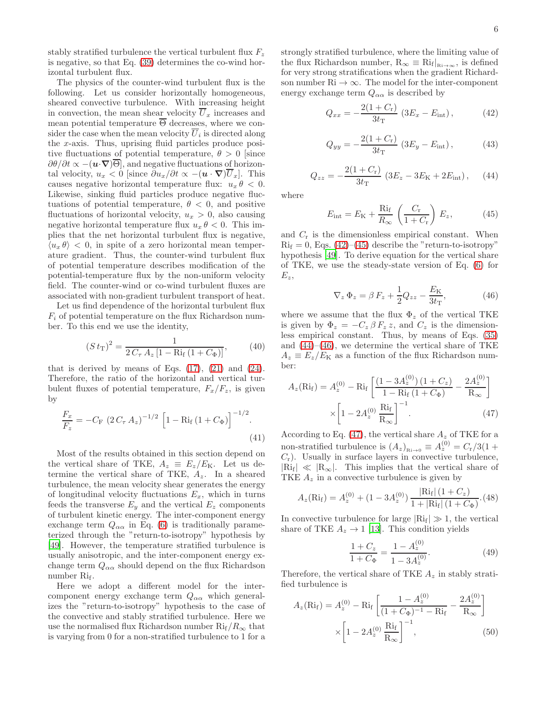stably stratified turbulence the vertical turbulent flux  $F_z$ is negative, so that Eq. [\(39\)](#page-4-6) determines the co-wind horizontal turbulent flux.

The physics of the counter-wind turbulent flux is the following. Let us consider horizontally homogeneous, sheared convective turbulence. With increasing height in convection, the mean shear velocity  $\overline{U}_x$  increases and mean potential temperature  $\overline{\Theta}$  decreases, where we consider the case when the mean velocity  $U_i$  is directed along the x-axis. Thus, uprising fluid particles produce positive fluctuations of potential temperature,  $\theta > 0$  since  $\partial\theta/\partial t \propto -(\mathbf{u}\cdot\nabla)\overline{\Theta}$ , and negative fluctuations of horizontal velocity,  $u_x < 0$  [since  $\partial u_x / \partial t \propto - (\mathbf{u} \cdot \nabla) \overline{U}_x$ ]. This causes negative horizontal temperature flux:  $u_x \theta < 0$ . Likewise, sinking fluid particles produce negative fluctuations of potential temperature,  $\theta < 0$ , and positive fluctuations of horizontal velocity,  $u_x > 0$ , also causing negative horizontal temperature flux  $u_x \theta < 0$ . This implies that the net horizontal turbulent flux is negative,  $\langle u_x \theta \rangle$  < 0, in spite of a zero horizontal mean temperature gradient. Thus, the counter-wind turbulent flux of potential temperature describes modification of the potential-temperature flux by the non-uniform velocity field. The counter-wind or co-wind turbulent fluxes are associated with non-gradient turbulent transport of heat.

Let us find dependence of the horizontal turbulent flux  $F_i$  of potential temperature on the flux Richardson number. To this end we use the identity,

$$
(St_{\rm T})^2 = \frac{1}{2 C_{\tau} A_z [1 - {\rm Ri}_{\rm f} (1 + C_{\Phi})]},
$$
 (40)

that is derived by means of Eqs.  $(17)$ ,  $(21)$  and  $(24)$ . Therefore, the ratio of the horizontal and vertical turbulent fluxes of potential temperature,  $F_x/F_z$ , is given by

<span id="page-5-6"></span>
$$
\frac{F_x}{F_z} = -C_{\rm F} \left( 2 \, C_{\tau} \, A_z \right)^{-1/2} \left[ 1 - \text{Ri}_{\rm f} \left( 1 + C_{\Phi} \right) \right]^{-1/2} . \tag{41}
$$

Most of the results obtained in this section depend on the vertical share of TKE,  $A_z \equiv E_z/E_K$ . Let us determine the vertical share of TKE,  $A_z$ . In a sheared turbulence, the mean velocity shear generates the energy of longitudinal velocity fluctuations  $E_x$ , which in turns feeds the transverse  $E_y$  and the vertical  $E_z$  components of turbulent kinetic energy. The inter-component energy exchange term  $Q_{\alpha\alpha}$  in Eq. [\(6\)](#page-2-2) is traditionally parameterized through the "return-to-isotropy" hypothesis by [\[49\]](#page-12-12). However, the temperature stratified turbulence is usually anisotropic, and the inter-component energy exchange term  $Q_{\alpha\alpha}$  should depend on the flux Richardson number Ri<sub>f</sub>.

Here we adopt a different model for the intercomponent energy exchange term  $Q_{\alpha\alpha}$  which generalizes the "return-to-isotropy" hypothesis to the case of the convective and stably stratified turbulence. Here we use the normalised flux Richardson number  $\text{Ri}_f/R_\infty$  that is varying from 0 for a non-stratified turbulence to 1 for a strongly stratified turbulence, where the limiting value of the flux Richardson number,  $R_{\infty} \equiv Ri_f|_{Ri \to \infty}$ , is defined for very strong stratifications when the gradient Richardson number  $\mathrm{R}i \to \infty$ . The model for the inter-component energy exchange term  $Q_{\alpha\alpha}$  is described by

<span id="page-5-0"></span>
$$
Q_{xx} = -\frac{2(1+C_{\rm r})}{3t_{\rm T}} (3E_x - E_{\rm int}), \qquad (42)
$$

$$
Q_{yy} = -\frac{2(1+C_{\rm r})}{3t_{\rm T}} (3E_y - E_{\rm int}), \qquad (43)
$$

<span id="page-5-2"></span>
$$
Q_{zz} = -\frac{2(1+C_{\rm r})}{3t_{\rm T}} (3E_z - 3E_{\rm K} + 2E_{\rm int}), \quad (44)
$$

where

<span id="page-5-1"></span>
$$
E_{\rm int} = E_{\rm K} + \frac{\rm Ri_{\rm f}}{R_{\infty}} \left(\frac{C_{\rm r}}{1 + C_{\rm r}}\right) E_{z},\tag{45}
$$

and  $C_r$  is the dimensionless empirical constant. When  $\mathrm{Ri}_{\mathrm{f}} = 0$ , Eqs. [\(42\)](#page-5-0)–[\(45\)](#page-5-1) describe the "return-to-isotropy" hypothesis [\[49\]](#page-12-12). To derive equation for the vertical share of TKE, we use the steady-state version of Eq. [\(6\)](#page-2-2) for  $E_z$ ,

<span id="page-5-3"></span>
$$
\nabla_z \Phi_z = \beta F_z + \frac{1}{2} Q_{zz} - \frac{E_{\rm K}}{3t_{\rm T}},\tag{46}
$$

where we assume that the flux  $\Phi_z$  of the vertical TKE is given by  $\Phi_z = -C_z \beta F_z z$ , and  $C_z$  is the dimensionless empirical constant. Thus, by means of Eqs. [\(35\)](#page-4-5) and  $(44)$ – $(46)$ , we determine the vertical share of TKE  $A_z \equiv E_z/E_K$  as a function of the flux Richardson number:

<span id="page-5-4"></span>
$$
A_z(\text{Ri}_f) = A_z^{(0)} - \text{Ri}_f \left[ \frac{(1 - 3A_z^{(0)})(1 + C_z)}{1 - \text{Ri}_f (1 + C_\Phi)} - \frac{2A_z^{(0)}}{\text{R}_\infty} \right] \times \left[ 1 - 2A_z^{(0)} \frac{\text{Ri}_f}{\text{R}_\infty} \right]^{-1} . \tag{47}
$$

According to Eq. [\(47\)](#page-5-4), the vertical share  $A_z$  of TKE for a non-stratified turbulence is  $(A_z)_{R_i\rightarrow 0} \equiv A_z^{(0)} = C_r/3(1 +$  $C_r$ ). Usually in surface layers in convective turbulence,  $|R_i| \ll |R_{\infty}|$ . This implies that the vertical share of TKE  $A_z$  in a convective turbulence is given by

$$
A_z(\text{Ri}_f) = A_z^{(0)} + (1 - 3A_z^{(0)}) \frac{|\text{Ri}_f| (1 + C_z)}{1 + |\text{Ri}_f| (1 + C_{\Phi})}.
$$
 (48)

In convective turbulence for large  $|R_i| \gg 1$ , the vertical share of TKE  $A_z \rightarrow 1$  [\[13](#page-11-4)]. This condition yields

$$
\frac{1+C_z}{1+C_\Phi} = \frac{1-A_z^{(0)}}{1-3A_z^{(0)}}.\tag{49}
$$

Therefore, the vertical share of TKE  $A_z$  in stably stratified turbulence is

<span id="page-5-5"></span>
$$
A_z(\text{Ri}_f) = A_z^{(0)} - \text{Ri}_f \left[ \frac{1 - A_z^{(0)}}{(1 + C_\Phi)^{-1} - \text{Ri}_f} - \frac{2A_z^{(0)}}{\text{R}_\infty} \right] \times \left[ 1 - 2A_z^{(0)} \frac{\text{Ri}_f}{\text{R}_\infty} \right]^{-1}, \tag{50}
$$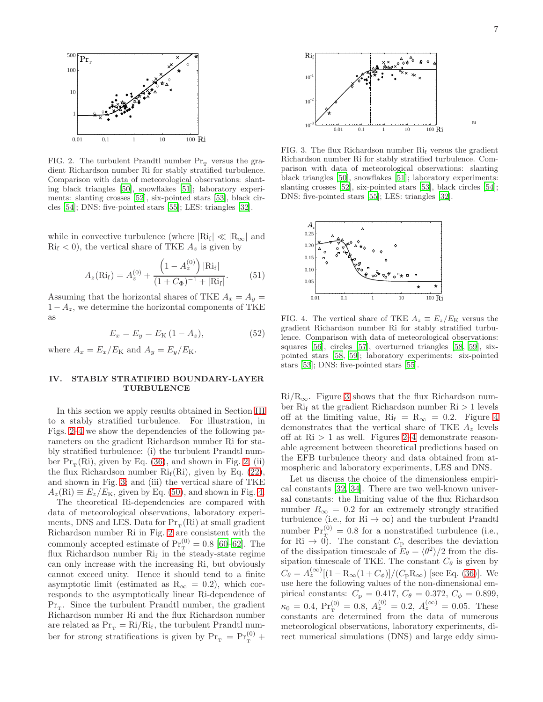7

Ri



<span id="page-6-0"></span>FIG. 2. The turbulent Prandtl number  $Pr_{\tau}$  versus the gradient Richardson number Ri for stably stratified turbulence. Comparison with data of meteorological observations: slanting black triangles [\[50\]](#page-12-13), snowflakes [\[51\]](#page-12-14); laboratory experiments: slanting crosses [\[52](#page-12-15)], six-pointed stars [\[53\]](#page-12-16), black circles [\[54](#page-12-17)]; DNS: five-pointed stars [\[55](#page-12-18)]; LES: triangles [\[32](#page-12-6)].

while in convective turbulence (where  $|R_i| \ll |R_{\infty}|$  and  $\mathrm{Ri}_{\mathrm{f}}$  < 0), the vertical share of TKE  $A_z$  is given by

<span id="page-6-3"></span>
$$
A_z(\text{Ri}_f) = A_z^{(0)} + \frac{\left(1 - A_z^{(0)}\right)|\text{Ri}_f|}{\left(1 + C_\Phi\right)^{-1} + |\text{Ri}_f|}.
$$
(51)

Assuming that the horizontal shares of TKE  $A_x = A_y$  $1 - A_z$ , we determine the horizontal components of TKE as

<span id="page-6-4"></span>
$$
E_x = E_y = E_K (1 - A_z), \t\t(52)
$$

where  $A_x = E_x/E_K$  and  $A_y = E_y/E_K$ .

# IV. STABLY STRATIFIED BOUNDARY-LAYER TURBULENCE

In this section we apply results obtained in Section [III](#page-2-6) to a stably stratified turbulence. For illustration, in Figs. [2](#page-6-0)[–4](#page-6-1) we show the dependencies of the following parameters on the gradient Richardson number Ri for stably stratified turbulence: (i) the turbulent Prandtl number  $Pr_{\text{T}}(\text{Ri})$ , given by Eq. [\(36\)](#page-4-7), and shown in Fig. [2;](#page-6-0) (ii) the flux Richardson number  $\text{Ri}_{f}(\text{Ri})$ , given by Eq. [\(22\)](#page-3-8), and shown in Fig. [3;](#page-6-2) and (iii) the vertical share of TKE  $A_z(Ri) \equiv E_z/E_K$ , given by Eq. [\(50\)](#page-5-5), and shown in Fig. [4.](#page-6-1)

The theoretical Ri-dependencies are compared with data of meteorological observations, laboratory experiments, DNS and LES. Data for  $Pr_{\tau}(\text{Ri})$  at small gradient Richardson number Ri in Fig. [2](#page-6-0) are consistent with the commonly accepted estimate of  $Pr_{\text{T}}^{(0)} = 0.8$  [\[60](#page-13-0)[–62](#page-13-1)]. The flux Richardson number Rif in the steady-state regime can only increase with the increasing Ri, but obviously cannot exceed unity. Hence it should tend to a finite asymptotic limit (estimated as  $R_{\infty} = 0.2$ ), which corresponds to the asymptotically linear Ri-dependence of  $Pr<sub>T</sub>$ . Since the turbulent Prandtl number, the gradient Richardson number Ri and the flux Richardson number are related as  $Pr_T = Ri/Ri_f$ , the turbulent Prandtl number for strong stratifications is given by  $Pr_{\rm T} = Pr_{\rm T}^{(0)} +$ 



<span id="page-6-2"></span>FIG. 3. The flux Richardson number  $\mathrm{Ri}_f$  versus the gradient Richardson number Ri for stably stratified turbulence. Comparison with data of meteorological observations: slanting black triangles [\[50](#page-12-13)], snowflakes [\[51\]](#page-12-14); laboratory experiments: slanting crosses [\[52](#page-12-15)], six-pointed stars [\[53](#page-12-16)], black circles [\[54\]](#page-12-17); DNS: five-pointed stars [\[55\]](#page-12-18); LES: triangles [\[32](#page-12-6)].



<span id="page-6-1"></span>FIG. 4. The vertical share of TKE  $A_z \equiv E_z/E_K$  versus the gradient Richardson number Ri for stably stratified turbulence. Comparison with data of meteorological observations: squares [\[56\]](#page-12-19), circles [\[57](#page-12-20)], overturned triangles [\[58,](#page-12-21) [59](#page-13-2)], sixpointed stars [\[58](#page-12-21), [59](#page-13-2)]; laboratory experiments: six-pointed stars [\[53\]](#page-12-16); DNS: five-pointed stars [\[55\]](#page-12-18).

 $\mathrm{Ri}/\mathrm{R}_{\infty}$ . Figure [3](#page-6-2) shows that the flux Richardson number Rif at the gradient Richardson number  $\mathrm{Ri} > 1$  levels off at the limiting value,  $\text{Ri}_{\text{f}} = \text{R}_{\infty} = 0.2$ . Figure [4](#page-6-1) demonstrates that the vertical share of TKE  $A_z$  levels off at  $\mathrm{Ri} > 1$  as well. Figures [2](#page-6-0)[–4](#page-6-1) demonstrate reasonable agreement between theoretical predictions based on the EFB turbulence theory and data obtained from atmospheric and laboratory experiments, LES and DNS.

Let us discuss the choice of the dimensionless empirical constants [\[32,](#page-12-6) [34\]](#page-12-3). There are two well-known universal constants: the limiting value of the flux Richardson number  $R_{\infty} = 0.2$  for an extremely strongly stratified turbulence (i.e., for  $\mathrm{Ri} \to \infty$ ) and the turbulent Prandtl number  $Pr_T^{(0)} = 0.8$  for a nonstratified turbulence (i.e., for Ri  $\rightarrow$  0). The constant  $C_p$  describes the deviation of the dissipation timescale of  $E_{\theta} = \langle \theta^2 \rangle / 2$  from the dissipation timescale of TKE. The constant  $C_{\theta}$  is given by  $C_{\theta} = A_z^{(\infty)}[(1 - R_{\infty}(1 + C_{\phi})]/(C_p R_{\infty})$  [see Eq. [\(36\)](#page-4-7)]. We use here the following values of the non-dimensional empirical constants:  $C_{\rm p} = 0.417, C_{\theta} = 0.372, C_{\phi} = 0.899,$  $\kappa_0 = 0.4$ ,  $Pr_T^{(0)} = 0.8$ ,  $A_z^{(0)} = 0.2$ ,  $A_z^{(\infty)} = 0.05$ . These constants are determined from the data of numerous meteorological observations, laboratory experiments, direct numerical simulations (DNS) and large eddy simu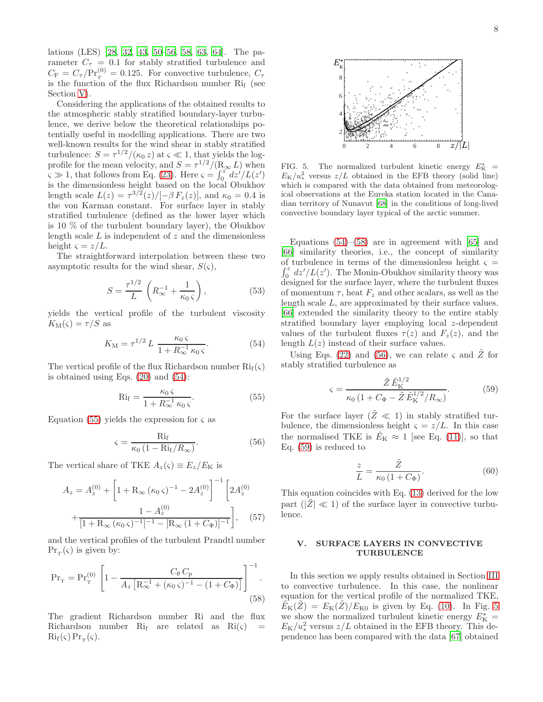lations (LES) [\[28](#page-12-1), [32](#page-12-6), [43,](#page-12-22) [50](#page-12-13)[–56,](#page-12-19) [58](#page-12-21), [63,](#page-13-3) [64\]](#page-13-4). The parameter  $C_{\tau} = 0.1$  for stably stratified turbulence and  $C_{\rm F} = C_{\tau}/\Pr_T^{(0)} = 0.125$ . For convective turbulence,  $C_{\tau}$ is the function of the flux Richardson number  $Ri<sub>f</sub>$  (see Section [V\)](#page-7-0).

Considering the applications of the obtained results to the atmospheric stably stratified boundary-layer turbulence, we derive below the theoretical relationships potentially useful in modelling applications. There are two well-known results for the wind shear in stably stratified turbulence:  $S = \tau^{1/2}/(\kappa_0 z)$  at  $\varsigma \ll 1$ , that yields the logprofile for the mean velocity, and  $S = \tau^{1/2}/(\mathcal{R}_{\infty} L)$  when  $\zeta \gg 1$ , that follows from Eq. [\(23\)](#page-3-9). Here  $\zeta = \int_0^z dz'/L(z')$ is the dimensionless height based on the local Obukhov length scale  $L(z) = \tau^{3/2}(z)/[-\beta F_z(z)]$ , and  $\kappa_0 = 0.4$  is the von Karman constant. For surface layer in stably stratified turbulence (defined as the lower layer which is 10 % of the turbulent boundary layer), the Obukhov length scale  $L$  is independent of  $z$  and the dimensionless height  $\varsigma = z/L$ .

The straightforward interpolation between these two asymptotic results for the wind shear,  $S(\varsigma)$ ,

$$
S = \frac{\tau^{1/2}}{L} \left( R_{\infty}^{-1} + \frac{1}{\kappa_0 \zeta} \right),\tag{53}
$$

yields the vertical profile of the turbulent viscosity  $K_{\mathrm{M}}(\varsigma) = \tau/S$  as

<span id="page-7-1"></span>
$$
K_{\rm M} = \tau^{1/2} L \frac{\kappa_0 \varsigma}{1 + R_{\infty}^{-1} \kappa_0 \varsigma}.
$$
 (54)

The vertical profile of the flux Richardson number  $\text{Ri}_{f}(\varsigma)$ is obtained using Eqs. [\(20\)](#page-3-6) and [\(54\)](#page-7-1):

<span id="page-7-2"></span>
$$
\text{Ri}_{\text{f}} = \frac{\kappa_0 \,\varsigma}{1 + R_{\infty}^{-1} \,\kappa_0 \,\varsigma}.\tag{55}
$$

Equation [\(55\)](#page-7-2) yields the expression for  $\varsigma$  as

<span id="page-7-4"></span>
$$
\varsigma = \frac{\text{Ri}_{\text{f}}}{\kappa_0 \left(1 - \text{Ri}_{\text{f}} / R_{\infty}\right)}.\tag{56}
$$

The vertical share of TKE  $A_z(\varsigma) \equiv E_z/E_K$  is

$$
A_z = A_z^{(0)} + \left[1 + \mathcal{R}_{\infty} (\kappa_0 \zeta)^{-1} - 2A_z^{(0)}\right]^{-1} \left[2A_z^{(0)} + \frac{1 - A_z^{(0)}}{[1 + \mathcal{R}_{\infty} (\kappa_0 \zeta)^{-1}]^{-1} - [\mathcal{R}_{\infty} (1 + C_{\Phi})]^{-1}}\right], \quad (57)
$$

and the vertical profiles of the turbulent Prandtl number  $\Pr_{T}(\varsigma)$  is given by:

<span id="page-7-3"></span>
$$
Pr_{\mathbf{T}} = Pr_{\mathbf{T}}^{(0)} \left[ 1 - \frac{C_{\theta} C_{\mathbf{p}}}{A_{z} \left[ R_{\infty}^{-1} + (\kappa_{0} \varsigma)^{-1} - (1 + C_{\Phi}) \right]} \right]^{-1}.
$$
\n(58)

The gradient Richardson number Ri and the flux Richardson number  $\mathrm{Ri}_f$  are related as  $\mathrm{Ri}(\varsigma)$  =  $\mathrm{Ri}_{\mathrm{f}}(\varsigma)\,\mathrm{Pr}_{\mathrm{T}}(\varsigma).$ 



<span id="page-7-6"></span>FIG. 5. The normalized turbulent kinetic energy  $E_K^*$  =  $E_K/u_*^2$  versus  $z/L$  obtained in the EFB theory (solid line) which is compared with the data obtained from meteorological observations at the Eureka station located in the Canadian territory of Nunavut [\[68](#page-13-5)] in the conditions of long-lived convective boundary layer typical of the arctic summer.

Equations  $(54)$ – $(58)$  are in agreement with  $[65]$  and [\[66\]](#page-13-7) similarity theories, i.e., the concept of similarity of turbulence in terms of the dimensionless height  $\varsigma =$  $\int_0^z$  $\int_0^z dz'/L(z')$ . The Monin-Obukhov similarity theory was designed for the surface layer, where the turbulent fluxes of momentum  $\tau$ , heat  $F_z$  and other scalars, as well as the length scale L, are approximated by their surface values. [\[66\]](#page-13-7) extended the similarity theory to the entire stably stratified boundary layer employing local z-dependent values of the turbulent fluxes  $\tau(z)$  and  $F_z(z)$ , and the length  $L(z)$  instead of their surface values.

Using Eqs. [\(22\)](#page-3-8) and [\(56\)](#page-7-4), we can relate  $\zeta$  and  $\tilde{Z}$  for stably stratified turbulence as

<span id="page-7-5"></span>
$$
\varsigma = \frac{\tilde{Z}\,\tilde{E}_{\rm K}^{1/2}}{\kappa_0\,(1+C_{\Phi}-\tilde{Z}\,\tilde{E}_{\rm K}^{1/2}/R_{\infty})}.\tag{59}
$$

For the surface layer  $(\tilde{Z} \ll 1)$  in stably stratified turbulence, the dimensionless height  $\zeta = z/L$ . In this case the normalised TKE is  $E_{\rm K} \approx 1$  [see Eq. [\(11\)](#page-3-10)], so that Eq. [\(59\)](#page-7-5) is reduced to

$$
\frac{z}{L} = \frac{\tilde{Z}}{\kappa_0 \left(1 + C_{\Phi}\right)}.\tag{60}
$$

This equation coincides with Eq. [\(13\)](#page-3-2) derived for the low part  $(|Z| \ll 1)$  of the surface layer in convective turbulence.

# <span id="page-7-0"></span>V. SURFACE LAYERS IN CONVECTIVE TURBULENCE

In this section we apply results obtained in Section [III](#page-2-6) to convective turbulence. In this case, the nonlinear equation for the vertical profile of the normalized TKE,  $E_{\rm K}(Z) = E_{\rm K}(Z)/E_{\rm K0}$  is given by Eq. [\(10\)](#page-3-1). In Fig. [5](#page-7-6) we show the normalized turbulent kinetic energy  $E_K^* =$  $E_K/u_*^2$  versus  $z/L$  obtained in the EFB theory. This dependence has been compared with the data [\[67\]](#page-13-8) obtained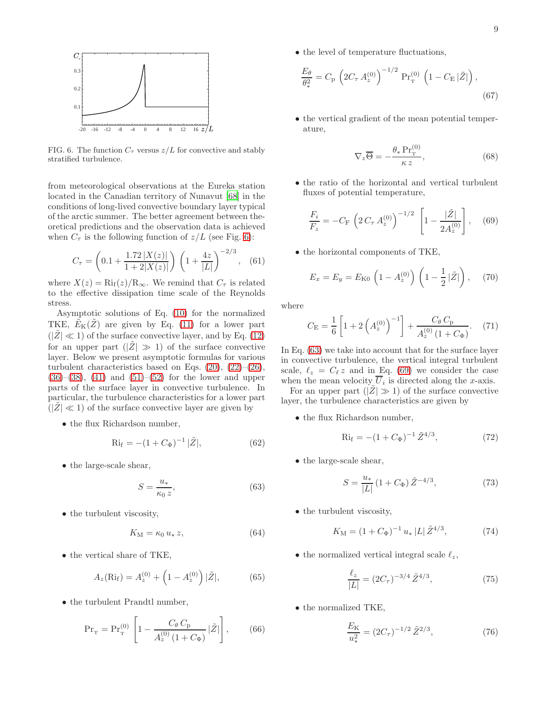

<span id="page-8-0"></span>FIG. 6. The function  $C_{\tau}$  versus  $z/L$  for convective and stably stratified turbulence.

from meteorological observations at the Eureka station located in the Canadian territory of Nunavut [\[68\]](#page-13-5) in the conditions of long-lived convective boundary layer typical of the arctic summer. The better agreement between theoretical predictions and the observation data is achieved when  $C_{\tau}$  is the following function of  $z/L$  (see Fig. [6\)](#page-8-0):

$$
C_{\tau} = \left(0.1 + \frac{1.72 \, |X(z)|}{1 + 2|X(z)|}\right) \left(1 + \frac{4z}{|L|}\right)^{-2/3}, \quad (61)
$$

where  $X(z) = Ri_f(z)/R_\infty$ . We remind that  $C_\tau$  is related to the effective dissipation time scale of the Reynolds stress.

Asymptotic solutions of Eq. [\(10\)](#page-3-1) for the normalized TKE,  $E_K(Z)$  are given by Eq. [\(11\)](#page-3-10) for a lower part  $(|\tilde{Z}|\ll 1)$  of the surface convective layer, and by Eq. [\(12\)](#page-3-11) for an upper part  $(|\tilde{Z}| \gg 1)$  of the surface convective layer. Below we present asymptotic formulas for various turbulent characteristics based on Eqs.  $(20)$ ,  $(22)$ – $(26)$ ,  $(36)$ – $(38)$ ,  $(41)$  and  $(51)$ – $(52)$  for the lower and upper parts of the surface layer in convective turbulence. In particular, the turbulence characteristics for a lower part  $(|Z| \ll 1)$  of the surface convective layer are given by

• the flux Richardson number,

$$
Ri_f = -(1 + C_{\Phi})^{-1} |\tilde{Z}|,
$$
\n(62)

• the large-scale shear,

<span id="page-8-1"></span>
$$
S = \frac{u_*}{\kappa_0 z},\tag{63}
$$

• the turbulent viscosity,

$$
K_{\mathcal{M}} = \kappa_0 u_* z, \tag{64}
$$

• the vertical share of TKE,

$$
A_z(\text{Ri}_f) = A_z^{(0)} + \left(1 - A_z^{(0)}\right)|\tilde{Z}|,\tag{65}
$$

• the turbulent Prandtl number,

$$
Pr_{\mathbf{T}} = Pr_{\mathbf{T}}^{(0)} \left[ 1 - \frac{C_{\theta} C_{\mathbf{p}}}{A_z^{(0)} \left( 1 + C_{\Phi} \right)} |\tilde{Z}| \right],\tag{66}
$$

• the level of temperature fluctuations,

$$
\frac{E_{\theta}}{\theta_*^2} = C_{\rm p} \left( 2C_{\tau} A_z^{(0)} \right)^{-1/2} \Pr_{\rm T}^{(0)} \left( 1 - C_{\rm E} |\tilde{Z}| \right),\tag{67}
$$

• the vertical gradient of the mean potential temperature,

$$
\nabla_z \overline{\Theta} = -\frac{\theta_* \Pr_{\mathcal{T}}^{(0)}}{\kappa z},\tag{68}
$$

• the ratio of the horizontal and vertical turbulent fluxes of potential temperature,

<span id="page-8-2"></span>
$$
\frac{F_i}{F_z} = -C_{\rm F} \left( 2 \, C_{\tau} \, A_z^{(0)} \right)^{-1/2} \left[ 1 - \frac{|\tilde{Z}|}{2 A_z^{(0)}} \right], \quad (69)
$$

• the horizontal components of TKE,

$$
E_x = E_y = E_{\text{K0}} \left( 1 - A_z^{(0)} \right) \left( 1 - \frac{1}{2} |\tilde{Z}| \right), \quad (70)
$$

where

$$
C_{\rm E} = \frac{1}{6} \left[ 1 + 2 \left( A_z^{(0)} \right)^{-1} \right] + \frac{C_{\theta} C_{\rm p}}{A_z^{(0)} \left( 1 + C_{\Phi} \right)}.
$$
 (71)

In Eq. [\(63\)](#page-8-1) we take into account that for the surface layer in convective turbulence, the vertical integral turbulent scale,  $\ell_z = C_{\ell} z$  and in Eq. [\(69\)](#page-8-2) we consider the case when the mean velocity  $U_i$  is directed along the x-axis.

For an upper part  $(|\tilde{Z}| \gg 1)$  of the surface convective layer, the turbulence characteristics are given by

• the flux Richardson number,

<span id="page-8-4"></span>
$$
Ri_f = -(1 + C_{\Phi})^{-1} \tilde{Z}^{4/3}, \qquad (72)
$$

• the large-scale shear,

$$
S = \frac{u_*}{|L|} \left( 1 + C_{\Phi} \right) \tilde{Z}^{-4/3},\tag{73}
$$

• the turbulent viscosity,

<span id="page-8-5"></span>
$$
K_{\mathcal{M}} = (1 + C_{\Phi})^{-1} u_* |L| \tilde{Z}^{4/3}, \tag{74}
$$

• the normalized vertical integral scale  $\ell_z$ ,

$$
\frac{\ell_z}{|L|} = (2C_\tau)^{-3/4} \tilde{Z}^{4/3},\tag{75}
$$

• the normalized TKE,

<span id="page-8-3"></span>
$$
\frac{E_{\rm K}}{u_*^2} = (2C_\tau)^{-1/2} \,\tilde{Z}^{2/3},\tag{76}
$$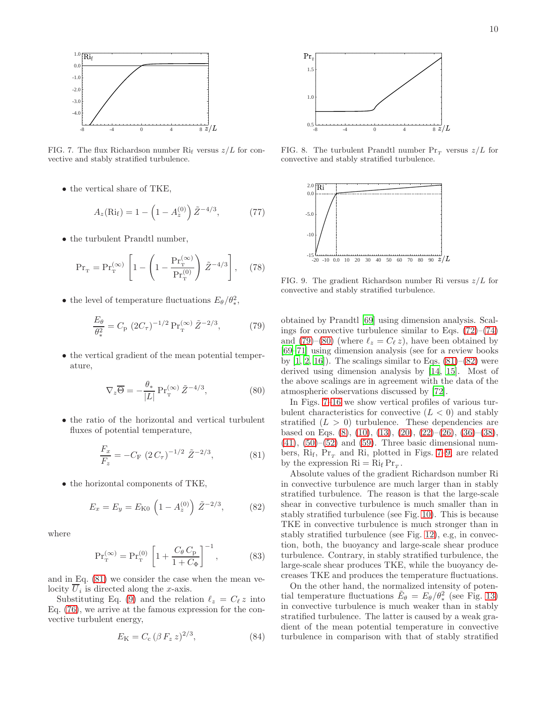

<span id="page-9-4"></span>FIG. 7. The flux Richardson number  $\mathrm{Ri}_\mathrm{f}$  versus  $z/L$  for convective and stably stratified turbulence.

• the vertical share of TKE,

$$
A_z(\text{Ri}_f) = 1 - \left(1 - A_z^{(0)}\right) \tilde{Z}^{-4/3},\tag{77}
$$

• the turbulent Prandtl number,

$$
Pr_{T} = Pr_{T}^{(\infty)} \left[ 1 - \left( 1 - \frac{Pr_{T}^{(\infty)}}{Pr_{T}^{(0)}} \right) \tilde{Z}^{-4/3} \right], \quad (78)
$$

• the level of temperature fluctuations  $E_{\theta}/\theta_*^2$ ,

<span id="page-9-1"></span>
$$
\frac{E_{\theta}}{\theta_*^2} = C_{\mathbf{p}} \ (2C_{\tau})^{-1/2} \Pr_{\mathbf{T}}^{(\infty)} \tilde{Z}^{-2/3},\tag{79}
$$

• the vertical gradient of the mean potential temperature,

<span id="page-9-2"></span>
$$
\nabla_z \overline{\Theta} = -\frac{\theta_*}{|L|} \Pr_{\mathbf{T}}^{(\infty)} \tilde{Z}^{-4/3},\tag{80}
$$

• the ratio of the horizontal and vertical turbulent fluxes of potential temperature,

<span id="page-9-0"></span>
$$
\frac{F_x}{F_z} = -C_{\rm F} (2C_{\tau})^{-1/2} \tilde{Z}^{-2/3},\tag{81}
$$

• the horizontal components of TKE,

<span id="page-9-3"></span>
$$
E_x = E_y = E_{\text{K0}} \left( 1 - A_z^{(0)} \right) \tilde{Z}^{-2/3}, \quad (82)
$$

where

$$
\Pr_{\mathbf{T}}^{(\infty)} = \Pr_{\mathbf{T}}^{(0)} \left[ 1 + \frac{C_{\theta} C_{\mathbf{p}}}{1 + C_{\Phi}} \right]^{-1}, \tag{83}
$$

and in Eq. [\(81\)](#page-9-0) we consider the case when the mean velocity  $U_i$  is directed along the x-axis.

Substituting Eq. [\(9\)](#page-3-0) and the relation  $\ell_z = C_{\ell} z$  into Eq. [\(76\)](#page-8-3), we arrive at the famous expression for the convective turbulent energy,

$$
E_{\rm K} = C_{\rm c} \, (\beta \, F_z \, z)^{2/3},\tag{84}
$$



FIG. 8. The turbulent Prandtl number  $Pr_T$  versus  $z/L$  for convective and stably stratified turbulence.



<span id="page-9-5"></span>FIG. 9. The gradient Richardson number Ri versus  $z/L$  for convective and stably stratified turbulence.

obtained by Prandtl [\[69\]](#page-13-9) using dimension analysis. Scalings for convective turbulence similar to Eqs.  $(72)$ – $(74)$ and [\(79\)](#page-9-1)–[\(80\)](#page-9-2) (where  $\ell_z = C_{\ell} z$ ), have been obtained by [\[69](#page-13-9)[–71\]](#page-13-10) using dimension analysis (see for a review books by  $[1, 2, 16]$  $[1, 2, 16]$  $[1, 2, 16]$  $[1, 2, 16]$ . The scalings similar to Eqs.  $(81)$ – $(82)$  were derived using dimension analysis by [\[14,](#page-11-5) [15](#page-11-9)]. Most of the above scalings are in agreement with the data of the atmospheric observations discussed by [\[72\]](#page-13-11).

In Figs. [7–](#page-9-4)[16](#page-10-0) we show vertical profiles of various turbulent characteristics for convective  $(L < 0)$  and stably stratified  $(L > 0)$  turbulence. These dependencies are based on Eqs.  $(8)$ ,  $(10)$ ,  $(13)$ ,  $(20)$ ,  $(22)$ – $(26)$ ,  $(36)$ – $(38)$ ,  $(41)$ ,  $(50)$ – $(52)$  and  $(59)$ . Three basic dimensional numbers,  $\mathrm{Ri}_f$ ,  $\mathrm{Pr}_T$  and  $\mathrm{Ri}$ , plotted in Figs. [7–](#page-9-4)[9,](#page-9-5) are related by the expression  $\mathrm{Ri} = \mathrm{Ri}_{\mathrm{f}} \mathrm{Pr}_{\mathrm{T}}$ .

Absolute values of the gradient Richardson number Ri in convective turbulence are much larger than in stably stratified turbulence. The reason is that the large-scale shear in convective turbulence is much smaller than in stably stratified turbulence (see Fig. [10\)](#page-10-1). This is because TKE in convective turbulence is much stronger than in stably stratified turbulence (see Fig. [12\)](#page-10-2), e.g, in convection, both, the buoyancy and large-scale shear produce turbulence. Contrary, in stably stratified turbulence, the large-scale shear produces TKE, while the buoyancy decreases TKE and produces the temperature fluctuations.

On the other hand, the normalized intensity of potential temperature fluctuations  $\tilde{E}_{\theta} = E_{\theta} / \theta_*^2$  (see Fig. [13\)](#page-10-3) in convective turbulence is much weaker than in stably stratified turbulence. The latter is caused by a weak gradient of the mean potential temperature in convective turbulence in comparison with that of stably stratified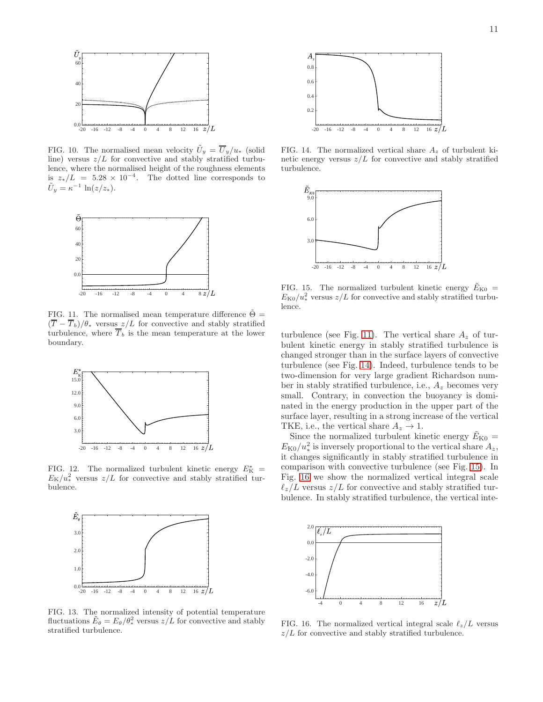

<span id="page-10-1"></span>FIG. 10. The normalised mean velocity  $\tilde{U}_y = \overline{U}_y/u_*$  (solid line) versus  $z/L$  for convective and stably stratified turbulence, where the normalised height of the roughness elements is  $z_*/L = 5.28 \times 10^{-4}$ . The dotted line corresponds to  $\tilde{U}_y = \kappa^{-1} \ln(z/z_*)$ .



<span id="page-10-4"></span>FIG. 11. The normalised mean temperature difference  $\Theta =$  $(\overline{T} - \overline{T}_b)/\theta_*$  versus  $z/L$  for convective and stably stratified turbulence, where  $\overline{T}_b$  is the mean temperature at the lower boundary.



<span id="page-10-2"></span>FIG. 12. The normalized turbulent kinetic energy  $E_K^* =$  $E_K/u_*^2$  versus  $z/L$  for convective and stably stratified turbulence.



<span id="page-10-3"></span>FIG. 13. The normalized intensity of potential temperature fluctuations  $\tilde{E}_{\theta} = E_{\theta}/\theta_*^2$  versus  $z/L$  for convective and stably stratified turbulence.



FIG. 14. The normalized vertical share  $A<sub>z</sub>$  of turbulent kinetic energy versus  $z/L$  for convective and stably stratified turbulence.

<span id="page-10-5"></span>

<span id="page-10-6"></span>FIG. 15. The normalized turbulent kinetic energy  $\tilde{E}_{\text{K0}} =$  $E_{\text{K0}}/u_*^2$  versus  $z/L$  for convective and stably stratified turbulence.

turbulence (see Fig. [11\)](#page-10-4). The vertical share  $A_z$  of turbulent kinetic energy in stably stratified turbulence is changed stronger than in the surface layers of convective turbulence (see Fig. [14\)](#page-10-5). Indeed, turbulence tends to be two-dimension for very large gradient Richardson number in stably stratified turbulence, i.e.,  $A_z$  becomes very small. Contrary, in convection the buoyancy is dominated in the energy production in the upper part of the surface layer, resulting in a strong increase of the vertical TKE, i.e., the vertical share  $A_z \rightarrow 1$ .

Since the normalized turbulent kinetic energy  $\tilde{E}_{\text{K0}} =$  $E_{\text{K0}}/u_*^2$  is inversely proportional to the vertical share  $A_z$ , it changes significantly in stably stratified turbulence in comparison with convective turbulence (see Fig. [15\)](#page-10-6). In Fig. [16](#page-10-0) we show the normalized vertical integral scale  $\ell_z/L$  versus  $z/L$  for convective and stably stratified turbulence. In stably stratified turbulence, the vertical inte-



<span id="page-10-0"></span>FIG. 16. The normalized vertical integral scale  $\ell_z/L$  versus  $z/L$  for convective and stably stratified turbulence.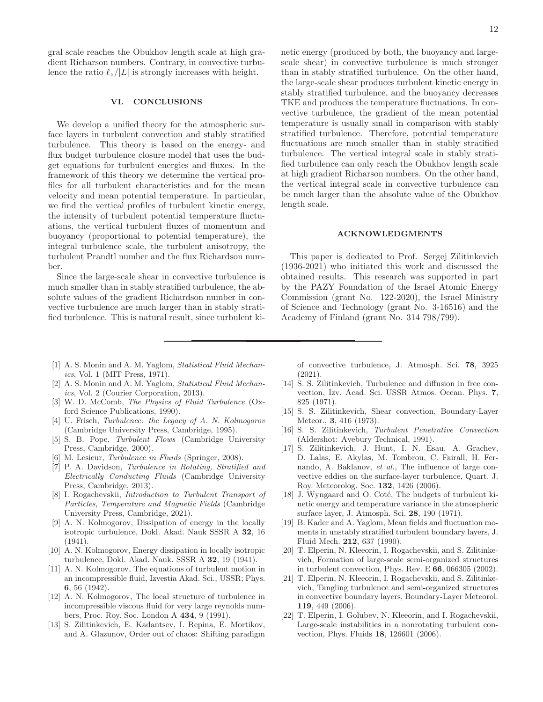gral scale reaches the Obukhov length scale at high gradient Richarson numbers. Contrary, in convective turbulence the ratio  $\ell_z/|L|$  is strongly increases with height.

# VI. CONCLUSIONS

We develop a unified theory for the atmospheric surface layers in turbulent convection and stably stratified turbulence. This theory is based on the energy- and flux budget turbulence closure model that uses the budget equations for turbulent energies and fluxes. In the framework of this theory we determine the vertical profiles for all turbulent characteristics and for the mean velocity and mean potential temperature. In particular, we find the vertical profiles of turbulent kinetic energy, the intensity of turbulent potential temperature fluctuations, the vertical turbulent fluxes of momentum and buoyancy (proportional to potential temperature), the integral turbulence scale, the turbulent anisotropy, the turbulent Prandtl number and the flux Richardson number.

Since the large-scale shear in convective turbulence is much smaller than in stably stratified turbulence, the absolute values of the gradient Richardson number in convective turbulence are much larger than in stably stratified turbulence. This is natural result, since turbulent kinetic energy (produced by both, the buoyancy and largescale shear) in convective turbulence is much stronger than in stably stratified turbulence. On the other hand, the large-scale shear produces turbulent kinetic energy in stably stratified turbulence, and the buoyancy decreases TKE and produces the temperature fluctuations. In convective turbulence, the gradient of the mean potential temperature is usually small in comparison with stably stratified turbulence. Therefore, potential temperature fluctuations are much smaller than in stably stratified turbulence. The vertical integral scale in stably stratified turbulence can only reach the Obukhov length scale at high gradient Richarson numbers. On the other hand, the vertical integral scale in convective turbulence can be much larger than the absolute value of the Obukhov length scale.

### ACKNOWLEDGMENTS

This paper is dedicated to Prof. Sergej Zilitinkevich (1936-2021) who initiated this work and discussed the obtained results. This research was supported in part by the PAZY Foundation of the Israel Atomic Energy Commission (grant No. 122-2020), the Israel Ministry of Science and Technology (grant No. 3-16516) and the Academy of Finland (grant No. 314 798/799).

- <span id="page-11-0"></span>[1] A. S. Monin and A. M. Yaglom, *Statistical Fluid Mechanics*, Vol. 1 (MIT Press, 1971).
- <span id="page-11-6"></span>[2] A. S. Monin and A. M. Yaglom, *Statistical Fluid Mechanics*, Vol. 2 (Courier Corporation, 2013).
- [3] W. D. McComb, *The Physics of Fluid Turbulence* (Oxford Science Publications, 1990).
- [4] U. Frisch, *Turbulence: the Legacy of A. N. Kolmogorov* (Cambridge University Press, Cambridge, 1995).
- [5] S. B. Pope, *Turbulent Flows* (Cambridge University Press, Cambridge, 2000).
- [6] M. Lesieur, *Turbulence in Fluids* (Springer, 2008).
- [7] P. A. Davidson, *Turbulence in Rotating, Stratified and Electrically Conducting Fluids* (Cambridge University Press, Cambridge, 2013).
- <span id="page-11-1"></span>[8] I. Rogachevskii, *Introduction to Turbulent Transport of Particles, Temperature and Magnetic Fields* (Cambridge University Press, Cambridge, 2021).
- <span id="page-11-2"></span>[9] A. N. Kolmogorov, Dissipation of energy in the locally isotropic turbulence, Dokl. Akad. Nauk SSSR A 32, 16 (1941).
- [10] A. N. Kolmogorov, Energy dissipation in locally isotropic turbulence, Dokl. Akad. Nauk. SSSR A 32, 19 (1941).
- <span id="page-11-7"></span>[11] A. N. Kolmogorov, The equations of turbulent motion in an incompressible fluid, Izvestia Akad. Sci., USSR; Phys. 6, 56 (1942).
- <span id="page-11-3"></span>[12] A. N. Kolmogorov, The local structure of turbulence in incompressible viscous fluid for very large reynolds numbers, Proc. Roy. Soc. London A 434, 9 (1991).
- <span id="page-11-4"></span>[13] S. Zilitinkevich, E. Kadantsev, I. Repina, E. Mortikov, and A. Glazunov, Order out of chaos: Shifting paradigm

of convective turbulence, J. Atmosph. Sci. 78, 3925 (2021).

- <span id="page-11-5"></span>[14] S. S. Zilitinkevich, Turbulence and diffusion in free convection, Izv. Acad. Sci. USSR Atmos. Ocean. Phys. 7, 825 (1971).
- <span id="page-11-9"></span>[15] S. S. Zilitinkevich, Shear convection, Boundary-Layer Meteor., 3, 416 (1973).
- <span id="page-11-8"></span>[16] S. S. Zilitinkevich, *Turbulent Penetrative Convection* (Aldershot: Avebury Technical, 1991).
- [17] S. Zilitinkevich, J. Hunt, I. N. Esau, A. Grachev, D. Lalas, E. Akylas, M. Tombrou, C. Fairall, H. Fernando, A. Baklanov, *et al.*, The influence of large convective eddies on the surface-layer turbulence, Quart. J. Roy. Meteorolog. Soc. 132, 1426 (2006).
- [18] J. Wyngaard and O. Coté, The budgets of turbulent kinetic energy and temperature variance in the atmospheric surface layer, J. Atmosph. Sci. 28, 190 (1971).
- [19] B. Kader and A. Yaglom, Mean fields and fluctuation moments in unstably stratified turbulent boundary layers, J. Fluid Mech. 212, 637 (1990).
- [20] T. Elperin, N. Kleeorin, I. Rogachevskii, and S. Zilitinkevich, Formation of large-scale semi-organized structures in turbulent convection, Phys. Rev. E 66, 066305 (2002).
- [21] T. Elperin, N. Kleeorin, I. Rogachevskii, and S. Zilitinkevich, Tangling turbulence and semi-organized structures in convective boundary layers, Boundary-Layer Meteorol. 119, 449 (2006).
- [22] T. Elperin, I. Golubev, N. Kleeorin, and I. Rogachevskii, Large-scale instabilities in a nonrotating turbulent convection, Phys. Fluids 18, 126601 (2006).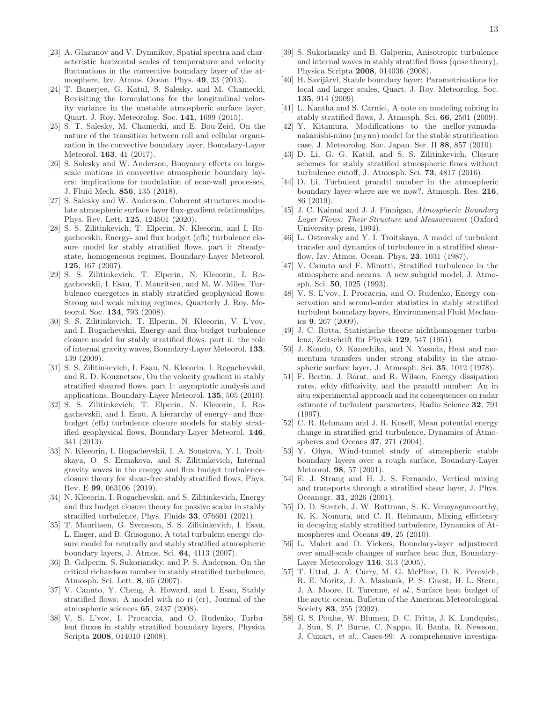- [23] A. Glazunov and V. Dymnikov, Spatial spectra and characteristic horizontal scales of temperature and velocity fluctuations in the convective boundary layer of the atmosphere, Izv. Atmos. Ocean. Phys. 49, 33 (2013).
- [24] T. Banerjee, G. Katul, S. Salesky, and M. Chamecki, Revisiting the formulations for the longitudinal velocity variance in the unstable atmospheric surface layer, Quart. J. Roy. Meteorolog. Soc. 141, 1699 (2015).
- [25] S. T. Salesky, M. Chamecki, and E. Bou-Zeid, On the nature of the transition between roll and cellular organization in the convective boundary layer, Boundary-Layer Meteorol. 163, 41 (2017).
- [26] S. Salesky and W. Anderson, Buoyancy effects on largescale motions in convective atmospheric boundary layers: implications for modulation of near-wall processes, J. Fluid Mech. 856, 135 (2018).
- <span id="page-12-0"></span>[27] S. Salesky and W. Anderson, Coherent structures modulate atmospheric surface layer flux-gradient relationships, Phys. Rev. Lett. 125, 124501 (2020).
- <span id="page-12-1"></span>[28] S. S. Zilitinkevich, T. Elperin, N. Kleeorin, and I. Rogachevskii, Energy- and flux budget (efb) turbulence closure model for stably stratified flows. part i: Steadystate, homogeneous regimes, Boundary-Layer Meteorol. 125, 167 (2007).
- [29] S. S. Zilitinkevich, T. Elperin, N. Kleeorin, I. Rogachevskii, I. Esau, T. Mauritsen, and M. W. Miles, Turbulence energetics in stably stratified geophysical flows: Strong and weak mixing regimes, Quarterly J. Roy. Meteorol. Soc. 134, 793 (2008).
- <span id="page-12-11"></span>[30] S. S. Zilitinkevich, T. Elperin, N. Kleeorin, V. L'vov, and I. Rogachevskii, Energy-and flux-budget turbulence closure model for stably stratified flows. part ii: the role of internal gravity waves, Boundary-Layer Meteorol. 133, 139 (2009).
- [31] S. S. Zilitinkevich, I. Esau, N. Kleeorin, I. Rogachevskii, and R. D. Kouznetsov, On the velocity gradient in stably stratified sheared flows. part 1: asymptotic analysis and applications, Boundary-Layer Meteorol. 135, 505 (2010).
- <span id="page-12-6"></span>[32] S. S. Zilitinkevich, T. Elperin, N. Kleeorin, I. Rogachevskii, and I. Esau, A hierarchy of energy- and fluxbudget (efb) turbulence closure models for stably stratified geophysical flows, Boundary-Layer Meteorol. 146, 341 (2013).
- <span id="page-12-2"></span>[33] N. Kleeorin, I. Rogachevskii, I. A. Soustova, Y. I. Troitskaya, O. S. Ermakova, and S. Zilitinkevich, Internal gravity waves in the energy and flux budget turbulenceclosure theory for shear-free stably stratified flows, Phys. Rev. E 99, 063106 (2019).
- <span id="page-12-3"></span>[34] N. Kleeorin, I. Rogachevskii, and S. Zilitinkevich, Energy and flux budget closure theory for passive scalar in stably stratified turbulence, Phys. Fluids 33, 076601 (2021).
- <span id="page-12-4"></span>[35] T. Mauritsen, G. Svensson, S. S. Zilitinkevich, I. Esau, L. Enger, and B. Grisogono, A total turbulent energy closure model for neutrally and stably stratified atmospheric boundary layers, J. Atmos. Sci. 64, 4113 (2007).
- [36] B. Galperin, S. Sukoriansky, and P. S. Anderson, On the critical richardson number in stably stratified turbulence, Atmosph. Sci. Lett. 8, 65 (2007).
- <span id="page-12-7"></span>[37] V. Canuto, Y. Cheng, A. Howard, and I. Esau, Stably stratified flows: A model with no ri (cr), Journal of the atmospheric sciences 65, 2437 (2008).
- [38] V. S. L'vov, I. Procaccia, and O. Rudenko, Turbulent fluxes in stably stratified boundary layers, Physica Scripta 2008, 014010 (2008).
- [39] S. Sukoriansky and B. Galperin, Anisotropic turbulence and internal waves in stably stratified flows (qnse theory), Physica Scripta 2008, 014036 (2008).
- [40] H. Savijärvi, Stable boundary layer: Parametrizations for local and larger scales, Quart. J. Roy. Meteorolog. Soc. 135, 914 (2009).
- [41] L. Kantha and S. Carniel, A note on modeling mixing in stably stratified flows, J. Atmosph. Sci. 66, 2501 (2009).
- [42] Y. Kitamura, Modifications to the mellor-yamadanakanishi-niino (mynn) model for the stable stratification case, J. Meteorolog. Soc. Japan. Ser. II 88, 857 (2010).
- <span id="page-12-22"></span>[43] D. Li, G. G. Katul, and S. S. Zilitinkevich, Closure schemes for stably stratified atmospheric flows without turbulence cutoff, J. Atmosph. Sci. 73, 4817 (2016).
- <span id="page-12-5"></span>[44] D. Li, Turbulent prandtl number in the atmospheric boundary layer-where are we now?, Atmosph. Res. 216, 86 (2019).
- <span id="page-12-8"></span>[45] J. C. Kaimal and J. J. Finnigan, *Atmospheric Boundary Layer Flows: Their Structure and Measurement* (Oxford University press, 1994).
- [46] L. Ostrovsky and Y. I. Troitskaya, A model of turbulent transfer and dynamics of turbulence in a stratified shearflow, Izv. Atmos. Ocean. Phys. 23, 1031 (1987).
- <span id="page-12-9"></span>[47] V. Canuto and F. Minotti, Stratified turbulence in the atmosphere and oceans: A new subgrid model, J. Atmosph. Sci. 50, 1925 (1993).
- <span id="page-12-10"></span>[48] V. S. L'vov, I. Procaccia, and O. Rudenko, Energy conservation and second-order statistics in stably stratified turbulent boundary layers, Environmental Fluid Mechanics 9, 267 (2009).
- <span id="page-12-12"></span>[49] J. C. Rotta, Statistische theorie nichthomogener turbulenz, Zeitschrift für Physik 129, 547 (1951).
- <span id="page-12-13"></span>[50] J. Kondo, O. Kanechika, and N. Yasuda, Heat and momentum transfers under strong stability in the atmospheric surface layer, J. Atmosph. Sci. 35, 1012 (1978).
- <span id="page-12-14"></span>[51] F. Bertin, J. Barat, and R. Wilson, Energy dissipation rates, eddy diffusivity, and the prandtl number: An in situ experimental approach and its consequences on radar estimate of turbulent parameters, Radio Science 32, 791 (1997).
- <span id="page-12-15"></span>[52] C. R. Rehmann and J. R. Koseff, Mean potential energy change in stratified grid turbulence, Dynamics of Atmospheres and Oceans 37, 271 (2004).
- <span id="page-12-16"></span>[53] Y. Ohya, Wind-tunnel study of atmospheric stable boundary layers over a rough surface, Boundary-Layer Meteorol. 98, 57 (2001).
- <span id="page-12-17"></span>[54] E. J. Strang and H. J. S. Fernando, Vertical mixing and transports through a stratified shear layer, J. Phys. Oceanogr. 31, 2026 (2001).
- <span id="page-12-18"></span>[55] D. D. Stretch, J. W. Rottman, S. K. Venayagamoorthy, K. K. Nomura, and C. R. Rehmann, Mixing efficiency in decaying stably stratified turbulence, Dynamics of Atmospheres and Oceans 49, 25 (2010).
- <span id="page-12-19"></span>[56] L. Mahrt and D. Vickers, Boundary-layer adjustment over small-scale changes of surface heat flux, Boundary-Layer Meteorology 116, 313 (2005).
- <span id="page-12-20"></span>[57] T. Uttal, J. A. Curry, M. G. McPhee, D. K. Perovich, R. E. Moritz, J. A. Maslanik, P. S. Guest, H. L. Stern, J. A. Moore, R. Turenne, *et al.*, Surface heat budget of the arctic ocean, Bulletin of the American Meteorological Society 83, 255 (2002).
- <span id="page-12-21"></span>[58] G. S. Poulos, W. Blumen, D. C. Fritts, J. K. Lundquist, J. Sun, S. P. Burns, C. Nappo, R. Banta, R. Newsom, J. Cuxart, *et al.*, Cases-99: A comprehensive investiga-